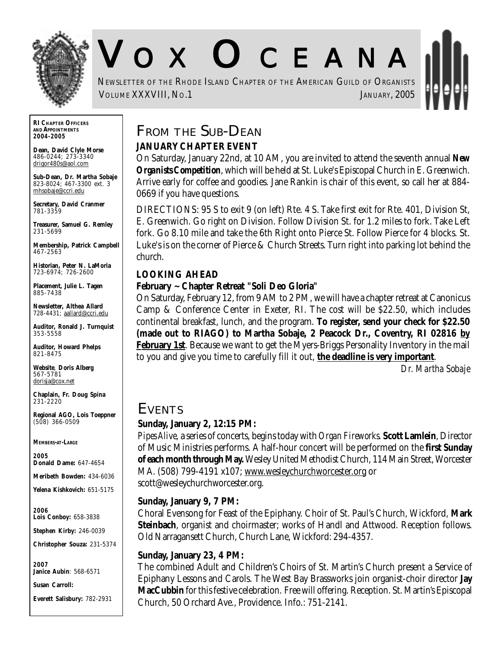

# V O X O CEANA

NEWSLETTER OF THE RHODE ISLAND CHAPTER OF THE AMERICAN GUILD OF ORGANISTS **VOLUME XXXVIII, NO.1** JANUARY, 2005

**RI CHAPTER OFFICERS AND APPOINTMENTS** *2004-2005*

**Dean, David Clyle Morse** 486-0244; 273-3340 drigor480s@aol.com

**Sub-Dean, Dr. Martha Sobaje** 823-8024; 467-3300 ext. 3 mhsobaje@ccri.edu

**Secretary, David Cranmer** 781-3359

**Treasurer, Samuel G. Remley** 231-5699

**Membership, Patrick Campbell** 467-2563

**Historian, Peter N. LaMoria** 723-6974; 726-2600

**Placement, Julie L. Tagen** 885-7438

**Newsletter, Althea Allard** 728-4431; aallard@ccri.edu

**Auditor, Ronald J. Turnquist** 353-5558

**Auditor, Howard Phelps** 821-8475

**Website**, **Doris Alberg** 567-5781 dorisja@cox.net

**Chaplain, Fr. Doug Spina** 231-2220

**Regional AGO, Lois Toeppner** (508) 366-0509

*MEMBERS-AT-LARGE*

*2005* **Donald Dame:** 647-4654

**Meribeth Bowden:** 434-6036

**Yelena Kishkovich:** 651-5175

*2006* **Lois Conboy:** 658-3838

**Stephen Kirby:** 246-0039

**Christopher Souza:** 231-5374

*2007* **Janice Aubin**: 568-6571

**Susan Carroll:**

**Everett Salisbury:** 782-2931

## **FROM THE SUB-DEAN JANUARY CHAPTER EVENT**

On Saturday, January 22nd, at 10 AM, you are invited to attend the seventh annual *New Organists Competition*, which will be held at St. Luke's Episcopal Church in E. Greenwich. Arrive early for coffee and goodies. Jane Rankin is chair of this event, so call her at 884- 0669 if you have questions.

DIRECTIONS: 95 S to exit 9 (on left) Rte. 4 S. Take first exit for Rte. 401, Division St, E. Greenwich. Go right on Division. Follow Division St. for 1.2 miles to fork. Take Left fork. Go 8.10 mile and take the 6th Right onto Pierce St. Follow Pierce for 4 blocks. St. Luke's is on the corner of Pierce & Church Streets. Turn right into parking lot behind the church.

## **LOOKING AHEAD**

## **February ~ Chapter Retreat "Soli Deo Gloria"**

On Saturday, February 12, from 9 AM to 2 PM, we will have a chapter retreat at Canonicus Camp & Conference Center in Exeter, RI. The cost will be \$22.50, which includes continental breakfast, lunch, and the program. **To register, send your check for \$22.50 (made out to RIAGO) to Martha Sobaje, 2 Peacock Dr., Coventry, RI 02816 by February 1st**. Because we want to get the Myers-Briggs Personality Inventory in the mail to you and give you time to carefully fill it out, **the deadline is very important**.

*Dr. Martha Sobaje*

## **EVENTS**

## **Sunday, January 2, 12:15 PM:**

*Pipes Alive,* a series of concerts, begins today with *Organ Fireworks*. **Scott Lamlein**, Director of Music Ministries performs. A half-hour concert will be performed on the **first Sunday of each month through May.** Wesley United Methodist Church, 114 Main Street, Worcester MA. (508) 799-4191 x107; www.wesleychurchworcester.org or scott@wesleychurchworcester.org.

#### **Sunday, January 9, 7 PM:**

Choral Evensong for Feast of the Epiphany. Choir of St. Paul's Church, Wickford, **Mark Steinbach**, organist and choirmaster; works of Handl and Attwood. Reception follows. Old Narragansett Church, Church Lane, Wickford: 294-4357.

#### **Sunday, January 23, 4 PM:**

The combined Adult and Children's Choirs of St. Martin's Church present a Service of Epiphany Lessons and Carols. The West Bay Brassworks join organist-choir director **Jay MacCubbin** for this festive celebration. Free will offering. Reception. St. Martin's Episcopal Church, 50 Orchard Ave., Providence. Info.: 751-2141.